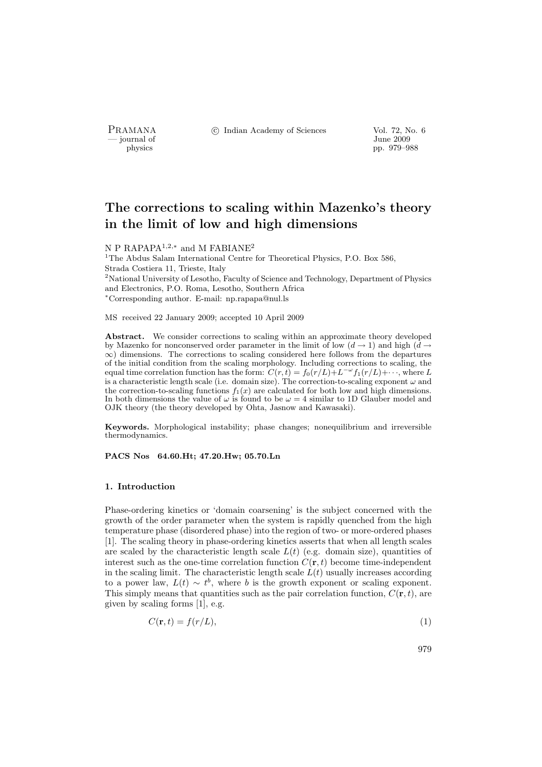- journal of<br>physics

PRAMANA <sup>©</sup>© Indian Academy of Sciences Vol. 72, No. 6<br>
— journal of June 2009

pp. 979–988

# The corrections to scaling within Mazenko's theory in the limit of low and high dimensions

N P RAPAPA<sup>1,2,∗</sup> and M FABIANE<sup>2</sup>

 $^{1}$  The Abdus Salam International Centre for Theoretical Physics, P.O. Box 586, Strada Costiera 11, Trieste, Italy <sup>2</sup>National University of Lesotho, Faculty of Science and Technology, Department of Physics and Electronics, P.O. Roma, Lesotho, Southern Africa <sup>∗</sup>Corresponding author. E-mail: np.rapapa@nul.ls

MS received 22 January 2009; accepted 10 April 2009

Abstract. We consider corrections to scaling within an approximate theory developed by Mazenko for nonconserved order parameter in the limit of low  $(d \rightarrow 1)$  and high  $(d \rightarrow$  $\infty$ ) dimensions. The corrections to scaling considered here follows from the departures of the initial condition from the scaling morphology. Including corrections to scaling, the equal time correlation function has the form:  $C(r,t) = f_0(r/L) + L^{-\omega} f_1(r/L) + \cdots$ , where L is a characteristic length scale (i.e. domain size). The correction-to-scaling exponent  $\omega$  and the correction-to-scaling functions  $f_1(x)$  are calculated for both low and high dimensions. In both dimensions the value of  $\omega$  is found to be  $\omega = 4$  similar to 1D Glauber model and OJK theory (the theory developed by Ohta, Jasnow and Kawasaki).

Keywords. Morphological instability; phase changes; nonequilibrium and irreversible thermodynamics.

## PACS Nos 64.60.Ht; 47.20.Hw; 05.70.Ln

#### 1. Introduction

Phase-ordering kinetics or 'domain coarsening' is the subject concerned with the growth of the order parameter when the system is rapidly quenched from the high temperature phase (disordered phase) into the region of two- or more-ordered phases [1]. The scaling theory in phase-ordering kinetics asserts that when all length scales are scaled by the characteristic length scale  $L(t)$  (e.g. domain size), quantities of interest such as the one-time correlation function  $C(\mathbf{r}, t)$  become time-independent in the scaling limit. The characteristic length scale  $L(t)$  usually increases according to a power law,  $L(t) \sim t^b$ , where b is the growth exponent or scaling exponent. This simply means that quantities such as the pair correlation function,  $C(\mathbf{r}, t)$ , are given by scaling forms [1], e.g.

$$
C(\mathbf{r},t) = f(r/L),\tag{1}
$$

979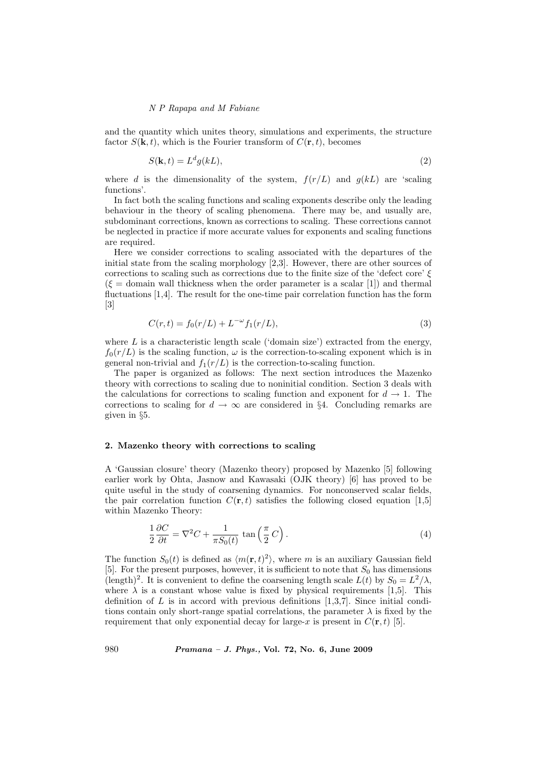and the quantity which unites theory, simulations and experiments, the structure factor  $S(\mathbf{k}, t)$ , which is the Fourier transform of  $C(\mathbf{r}, t)$ , becomes

$$
S(\mathbf{k},t) = L^d g(kL),\tag{2}
$$

where d is the dimensionality of the system,  $f(r/L)$  and  $g(kL)$  are 'scaling functions'.

In fact both the scaling functions and scaling exponents describe only the leading behaviour in the theory of scaling phenomena. There may be, and usually are, subdominant corrections, known as corrections to scaling. These corrections cannot be neglected in practice if more accurate values for exponents and scaling functions are required.

Here we consider corrections to scaling associated with the departures of the initial state from the scaling morphology [2,3]. However, there are other sources of corrections to scaling such as corrections due to the finite size of the 'defect core'  $\xi$  $(\xi =$  domain wall thickness when the order parameter is a scalar [1]) and thermal fluctuations [1,4]. The result for the one-time pair correlation function has the form [3]

$$
C(r,t) = f_0(r/L) + L^{-\omega} f_1(r/L),
$$
\n(3)

where  $L$  is a characteristic length scale ('domain size') extracted from the energy,  $f_0(r/L)$  is the scaling function,  $\omega$  is the correction-to-scaling exponent which is in general non-trivial and  $f_1(r/L)$  is the correction-to-scaling function.

The paper is organized as follows: The next section introduces the Mazenko theory with corrections to scaling due to noninitial condition. Section 3 deals with the calculations for corrections to scaling function and exponent for  $d \to 1$ . The corrections to scaling for  $d \to \infty$  are considered in §4. Concluding remarks are given in §5.

#### 2. Mazenko theory with corrections to scaling

A 'Gaussian closure' theory (Mazenko theory) proposed by Mazenko [5] following earlier work by Ohta, Jasnow and Kawasaki (OJK theory) [6] has proved to be quite useful in the study of coarsening dynamics. For nonconserved scalar fields, the pair correlation function  $C(\mathbf{r}, t)$  satisfies the following closed equation [1,5] within Mazenko Theory:

$$
\frac{1}{2}\frac{\partial C}{\partial t} = \nabla^2 C + \frac{1}{\pi S_0(t)} \tan\left(\frac{\pi}{2}C\right). \tag{4}
$$

The function  $S_0(t)$  is defined as  $\langle m(\mathbf{r}, t)^2 \rangle$ , where m is an auxiliary Gaussian field [5]. For the present purposes, however, it is sufficient to note that  $S_0$  has dimensions (length)<sup>2</sup>. It is convenient to define the coarsening length scale  $L(t)$  by  $S_0 = L^2/\lambda$ , where  $\lambda$  is a constant whose value is fixed by physical requirements [1,5]. This definition of  $L$  is in accord with previous definitions [1,3,7]. Since initial conditions contain only short-range spatial correlations, the parameter  $\lambda$  is fixed by the requirement that only exponential decay for large-x is present in  $C(\mathbf{r}, t)$  [5].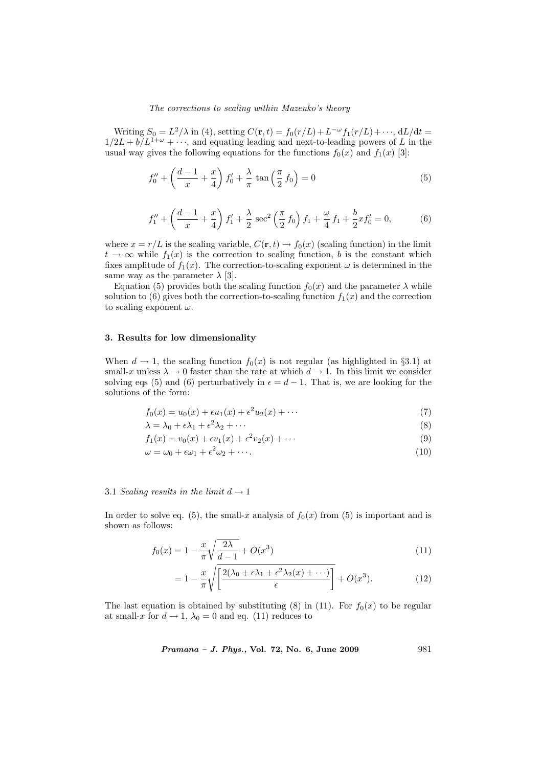#### The corrections to scaling within Mazenko's theory

Writing  $S_0 = L^2/\lambda$  in (4), setting  $C(\mathbf{r}, t) = f_0(r/L) + L^{-\omega} f_1(r/L) + \cdots$ , dL/dt =  $1/2L + b/L^{1+\omega} + \cdots$ , and equating leading and next-to-leading powers of L in the usual way gives the following equations for the functions  $f_0(x)$  and  $f_1(x)$  [3]:

$$
f_0'' + \left(\frac{d-1}{x} + \frac{x}{4}\right)f_0' + \frac{\lambda}{\pi}\tan\left(\frac{\pi}{2}f_0\right) = 0
$$
 (5)

$$
f_1'' + \left(\frac{d-1}{x} + \frac{x}{4}\right)f_1' + \frac{\lambda}{2}\sec^2\left(\frac{\pi}{2}f_0\right)f_1 + \frac{\omega}{4}f_1 + \frac{b}{2}xf_0' = 0,\tag{6}
$$

where  $x = r/L$  is the scaling variable,  $C(\mathbf{r}, t) \to f_0(x)$  (scaling function) in the limit  $t \to \infty$  while  $f_1(x)$  is the correction to scaling function, b is the constant which fixes amplitude of  $f_1(x)$ . The correction-to-scaling exponent  $\omega$  is determined in the same way as the parameter  $\lambda$  [3].

Equation (5) provides both the scaling function  $f_0(x)$  and the parameter  $\lambda$  while solution to (6) gives both the correction-to-scaling function  $f_1(x)$  and the correction to scaling exponent  $\omega$ .

#### 3. Results for low dimensionality

When  $d \to 1$ , the scaling function  $f_0(x)$  is not regular (as highlighted in §3.1) at small-x unless  $\lambda \to 0$  faster than the rate at which  $d \to 1$ . In this limit we consider solving eqs (5) and (6) perturbatively in  $\epsilon = d - 1$ . That is, we are looking for the solutions of the form:

$$
f_0(x) = u_0(x) + \epsilon u_1(x) + \epsilon^2 u_2(x) + \cdots
$$
 (7)

$$
\lambda = \lambda_0 + \epsilon \lambda_1 + \epsilon^2 \lambda_2 + \cdots \tag{8}
$$

$$
f_1(x) = v_0(x) + \epsilon v_1(x) + \epsilon^2 v_2(x) + \cdots
$$
\n(9)

$$
\omega = \omega_0 + \epsilon \omega_1 + \epsilon^2 \omega_2 + \cdots. \tag{10}
$$

## 3.1 Scaling results in the limit  $d \rightarrow 1$

In order to solve eq. (5), the small-x analysis of  $f_0(x)$  from (5) is important and is shown as follows:

$$
f_0(x) = 1 - \frac{x}{\pi} \sqrt{\frac{2\lambda}{d-1}} + O(x^3)
$$
\n(11)

$$
= 1 - \frac{x}{\pi} \sqrt{\left[ \frac{2(\lambda_0 + \epsilon \lambda_1 + \epsilon^2 \lambda_2(x) + \cdots)}{\epsilon} \right]} + O(x^3).
$$
 (12)

The last equation is obtained by substituting (8) in (11). For  $f_0(x)$  to be regular at small-x for  $d \to 1$ ,  $\lambda_0 = 0$  and eq. (11) reduces to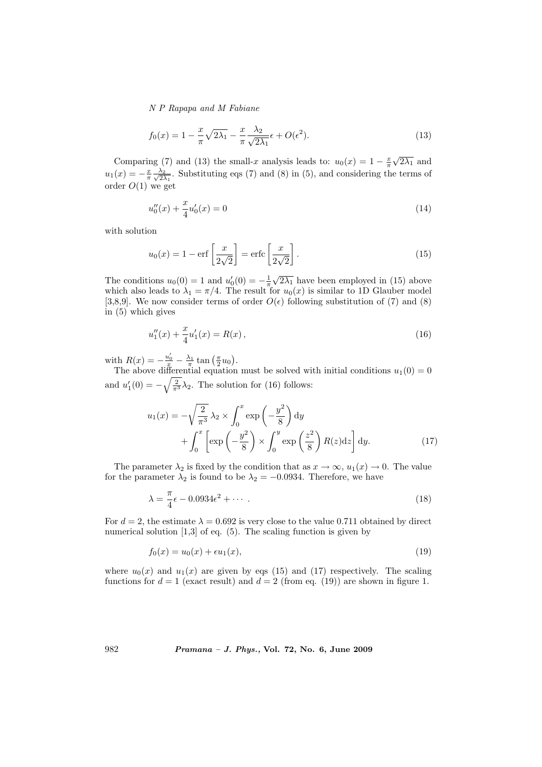$$
f_0(x) = 1 - \frac{x}{\pi} \sqrt{2\lambda_1} - \frac{x}{\pi} \frac{\lambda_2}{\sqrt{2\lambda_1}} \epsilon + O(\epsilon^2).
$$
 (13)

Comparing (7) and (13) the small-x analysis leads to:  $u_0(x) = 1 - \frac{x}{\pi}$  $\sqrt{2\lambda_1}$  and  $u_1(x) = -\frac{x}{\pi} \frac{\lambda_2}{\sqrt{2}}$  $\frac{\lambda_2}{2\lambda_1}$ . Substituting eqs (7) and (8) in (5), and considering the terms of order  $O(1)$  we get

$$
u_0''(x) + \frac{x}{4}u_0'(x) = 0\tag{14}
$$

with solution

$$
u_0(x) = 1 - \text{erf}\left[\frac{x}{2\sqrt{2}}\right] = \text{erfc}\left[\frac{x}{2\sqrt{2}}\right].\tag{15}
$$

The conditions  $u_0(0) = 1$  and  $u'_0(0) = -\frac{1}{\pi}$  $\sqrt{2\lambda_1}$  have been employed in (15) above which also leads to  $\lambda_1 = \pi/4$ . The result for  $u_0(x)$  is similar to 1D Glauber model [3,8,9]. We now consider terms of order  $O(\epsilon)$  following substitution of (7) and (8) in (5) which gives

$$
u_1''(x) + \frac{x}{4}u_1'(x) = R(x),\tag{16}
$$

with  $R(x) = -\frac{u'_0}{x} - \frac{\lambda_1}{\pi} \tan\left(\frac{\pi}{2}u_0\right)$ ¢ .

The above differential equation must be solved with initial conditions  $u_1(0) = 0$ and  $u'_1(0) = -\sqrt{\frac{2}{\pi^3}}\lambda_2$ . The solution for (16) follows:

$$
u_1(x) = -\sqrt{\frac{2}{\pi^3}} \lambda_2 \times \int_0^x \exp\left(-\frac{y^2}{8}\right) dy
$$
  
+ 
$$
\int_0^x \left[\exp\left(-\frac{y^2}{8}\right) \times \int_0^y \exp\left(\frac{z^2}{8}\right) R(z) dz\right] dy.
$$
 (17)

The parameter  $\lambda_2$  is fixed by the condition that as  $x \to \infty$ ,  $u_1(x) \to 0$ . The value for the parameter  $\lambda_2$  is found to be  $\lambda_2 = -0.0934$ . Therefore, we have

$$
\lambda = \frac{\pi}{4}\epsilon - 0.0934\epsilon^2 + \cdots \tag{18}
$$

For  $d = 2$ , the estimate  $\lambda = 0.692$  is very close to the value 0.711 obtained by direct numerical solution [1,3] of eq. (5). The scaling function is given by

$$
f_0(x) = u_0(x) + \epsilon u_1(x),
$$
\n(19)

where  $u_0(x)$  and  $u_1(x)$  are given by eqs (15) and (17) respectively. The scaling functions for  $d = 1$  (exact result) and  $d = 2$  (from eq. (19)) are shown in figure 1.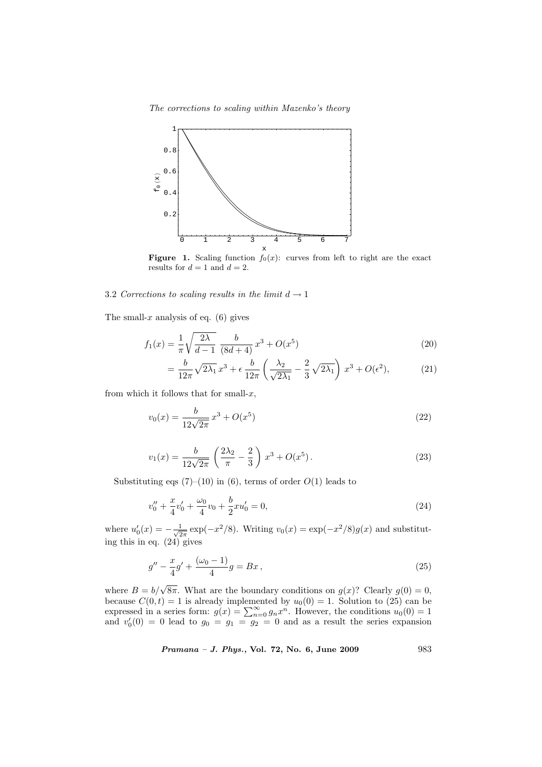The corrections to scaling within Mazenko's theory



**Figure 1.** Scaling function  $f_0(x)$ : curves from left to right are the exact results for  $d = 1$  and  $d = 2$ .

## 3.2 Corrections to scaling results in the limit  $d \rightarrow 1$

The small-x analysis of eq.  $(6)$  gives

$$
f_1(x) = \frac{1}{\pi} \sqrt{\frac{2\lambda}{d-1}} \frac{b}{(8d+4)} x^3 + O(x^5)
$$
 (20)

$$
= \frac{b}{12\pi} \sqrt{2\lambda_1} x^3 + \epsilon \frac{b}{12\pi} \left(\frac{\lambda_2}{\sqrt{2\lambda_1}} - \frac{2}{3} \sqrt{2\lambda_1}\right) x^3 + O(\epsilon^2),\tag{21}
$$

from which it follows that for small- $x$ ,

$$
v_0(x) = \frac{b}{12\sqrt{2\pi}} x^3 + O(x^5)
$$
\n(22)

$$
v_1(x) = \frac{b}{12\sqrt{2\pi}} \left(\frac{2\lambda_2}{\pi} - \frac{2}{3}\right) x^3 + O(x^5).
$$
 (23)

Substituting eqs  $(7)-(10)$  in  $(6)$ , terms of order  $O(1)$  leads to

$$
v_0'' + \frac{x}{4}v_0' + \frac{\omega_0}{4}v_0 + \frac{b}{2}xu_0' = 0,
$$
\n(24)

where  $u_0'(x) = -\frac{1}{\sqrt{2}}$  $\frac{1}{2\pi} \exp(-x^2/8)$ . Writing  $v_0(x) = \exp(-x^2/8)g(x)$  and substituting this in eq. (24) gives

$$
g'' - \frac{x}{4}g' + \frac{(\omega_0 - 1)}{4}g = Bx, \qquad (25)
$$

where  $B = b/\sqrt{8\pi}$ . What are the boundary conditions on  $g(x)$ ? Clearly  $g(0) = 0$ , because  $C(0, t) = 1$  is already implemented by  $u_0(0) = 1$ . Solution to (25) can be expressed in a series form:  $g(x) = \sum_{n=0}^{\infty} g_n x^n$ . However, the conditions  $u_0(0) = 1$ and  $v'_0(0) = 0$  lead to  $g_0 = g_1 = g_2 = 0$  and as a result the series expansion

Pramana – J. Phys., Vol. 72, No. 6, June 2009 983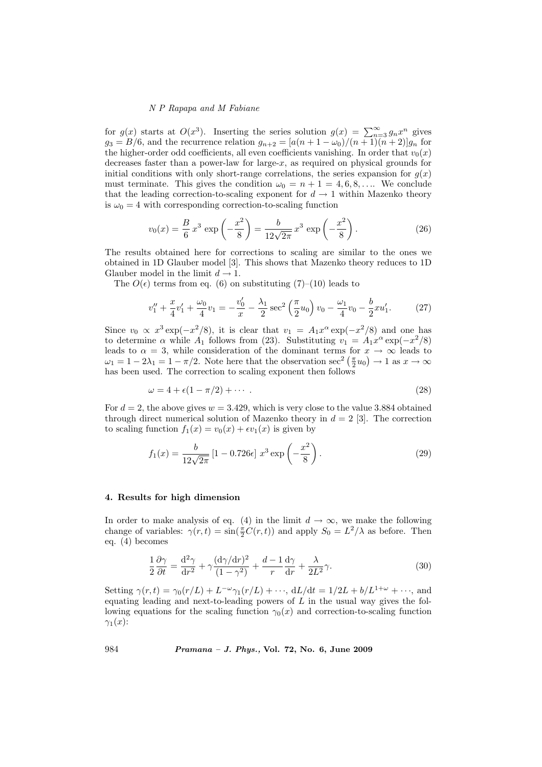for  $g(x)$  starts at  $O(x^3)$ . Inserting the series solution  $g(x) = \sum_{n=3}^{\infty} g_n x^n$  gives  $g_3 = B/6$ , and the recurrence relation  $g_{n+2} = \frac{a(n+1-\omega_0)}{(n+1)(n+2)}g_n$  for the higher-order odd coefficients, all even coefficients vanishing. In order that  $v_0(x)$ decreases faster than a power-law for large- $x$ , as required on physical grounds for initial conditions with only short-range correlations, the series expansion for  $g(x)$ must terminate. This gives the condition  $\omega_0 = n + 1 = 4, 6, 8, \dots$  We conclude that the leading correction-to-scaling exponent for  $d \to 1$  within Mazenko theory is  $\omega_0 = 4$  with corresponding correction-to-scaling function

$$
v_0(x) = \frac{B}{6} x^3 \exp\left(-\frac{x^2}{8}\right) = \frac{b}{12\sqrt{2\pi}} x^3 \exp\left(-\frac{x^2}{8}\right). \tag{26}
$$

The results obtained here for corrections to scaling are similar to the ones we obtained in 1D Glauber model [3]. This shows that Mazenko theory reduces to 1D Glauber model in the limit  $d \rightarrow 1$ .

The  $O(\epsilon)$  terms from eq. (6) on substituting (7)–(10) leads to

$$
v_1'' + \frac{x}{4}v_1' + \frac{\omega_0}{4}v_1 = -\frac{v_0'}{x} - \frac{\lambda_1}{2}\sec^2\left(\frac{\pi}{2}u_0\right)v_0 - \frac{\omega_1}{4}v_0 - \frac{b}{2}xu_1'.
$$
 (27)

Since  $v_0 \propto x^3 \exp(-x^2/8)$ , it is clear that  $v_1 = A_1 x^{\alpha} \exp(-x^2/8)$  and one has to determine  $\alpha$  while  $A_1$  follows from (23). Substituting  $v_1 = A_1 x^{\alpha} \exp(-x^2/8)$ leads to  $\alpha = 3$ , while consideration of the dominant terms for  $x \to \infty$  leads to  $\omega_1 = 1 - 2\lambda_1 = 1 - \pi/2$ . Note here that the observation sec<sup>2</sup>  $(\frac{\pi}{2}u_0) \to 1$  as  $x \to \infty$ has been used. The correction to scaling exponent then follows

$$
\omega = 4 + \epsilon (1 - \pi/2) + \cdots \tag{28}
$$

For  $d = 2$ , the above gives  $w = 3.429$ , which is very close to the value 3.884 obtained through direct numerical solution of Mazenko theory in  $d = 2$  [3]. The correction to scaling function  $f_1(x) = v_0(x) + \epsilon v_1(x)$  is given by

$$
f_1(x) = \frac{b}{12\sqrt{2\pi}} \left[ 1 - 0.726\epsilon \right] x^3 \exp\left(-\frac{x^2}{8}\right). \tag{29}
$$

#### 4. Results for high dimension

In order to make analysis of eq. (4) in the limit  $d \to \infty$ , we make the following change of variables:  $\gamma(r,t) = \sin(\frac{\pi}{2}C(r,t))$  and apply  $S_0 = L^2/\lambda$  as before. Then eq. (4) becomes

$$
\frac{1}{2}\frac{\partial\gamma}{\partial t} = \frac{\mathrm{d}^2\gamma}{\mathrm{d}r^2} + \gamma\frac{(\mathrm{d}\gamma/\mathrm{d}r)^2}{(1-\gamma^2)} + \frac{d-1}{r}\frac{\mathrm{d}\gamma}{\mathrm{d}r} + \frac{\lambda}{2L^2}\gamma.
$$
 (30)

Setting  $\gamma(r,t) = \gamma_0(r/L) + L^{-\omega}\gamma_1(r/L) + \cdots$ ,  $dL/dt = 1/2L + b/L^{1+\omega} + \cdots$ , and equating leading and next-to-leading powers of  $L$  in the usual way gives the following equations for the scaling function  $\gamma_0(x)$  and correction-to-scaling function  $\gamma_1(x)$ :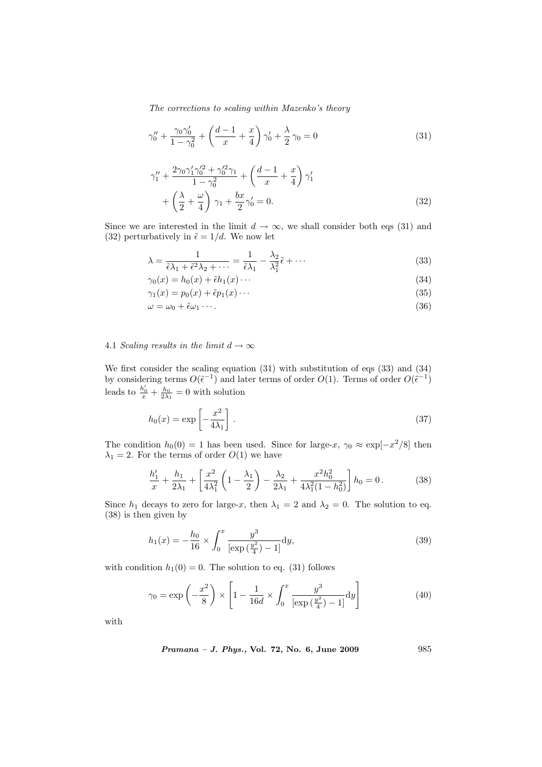The corrections to scaling within Mazenko's theory

$$
\gamma_0'' + \frac{\gamma_0 \gamma_0'}{1 - \gamma_0^2} + \left(\frac{d-1}{x} + \frac{x}{4}\right) \gamma_0' + \frac{\lambda}{2} \gamma_0 = 0 \tag{31}
$$

$$
\gamma_1'' + \frac{2\gamma_0\gamma_1'\gamma_0'^2 + \gamma_0'^2\gamma_1}{1 - \gamma_0^2} + \left(\frac{d-1}{x} + \frac{x}{4}\right)\gamma_1' + \left(\frac{\lambda}{2} + \frac{\omega}{4}\right)\gamma_1 + \frac{bx}{2}\gamma_0' = 0.
$$
 (32)

Since we are interested in the limit  $d \to \infty$ , we shall consider both eqs (31) and (32) perturbatively in  $\tilde{\epsilon} = 1/d$ . We now let

$$
\lambda = \frac{1}{\tilde{\epsilon}\lambda_1 + \tilde{\epsilon}^2\lambda_2 + \dots} = \frac{1}{\tilde{\epsilon}\lambda_1} - \frac{\lambda_2}{\lambda_1^2}\tilde{\epsilon} + \dots
$$
\n(33)

$$
\gamma_0(x) = h_0(x) + \tilde{\epsilon}h_1(x) \cdots \tag{34}
$$

$$
\gamma_1(x) = p_0(x) + \tilde{\epsilon} p_1(x) \cdots \tag{35}
$$

$$
\omega = \omega_0 + \tilde{\epsilon}\omega_1 \cdots. \tag{36}
$$

# 4.1 Scaling results in the limit  $d \to \infty$

We first consider the scaling equation (31) with substitution of eqs (33) and (34) by considering terms  $O(\tilde{\epsilon}^{-1})$  and later terms of order  $O(1)$ . Terms of order  $O(\tilde{\epsilon}^{-1})$ leads to  $\frac{h'_0}{x} + \frac{h_0}{2\lambda_1} = 0$  with solution

$$
h_0(x) = \exp\left[-\frac{x^2}{4\lambda_1}\right].
$$
\n(37)

The condition  $h_0(0) = 1$  has been used. Since for large-x,  $\gamma_0 \approx \exp[-x^2/8]$  then  $\lambda_1 = 2$ . For the terms of order  $O(1)$  we have

$$
\frac{h_1'}{x} + \frac{h_1}{2\lambda_1} + \left[\frac{x^2}{4\lambda_1^2} \left(1 - \frac{\lambda_1}{2}\right) - \frac{\lambda_2}{2\lambda_1} + \frac{x^2 h_0^2}{4\lambda_1^2 (1 - h_0^2)}\right] h_0 = 0.
$$
 (38)

Since  $h_1$  decays to zero for large-x, then  $\lambda_1 = 2$  and  $\lambda_2 = 0$ . The solution to eq. (38) is then given by

$$
h_1(x) = -\frac{h_0}{16} \times \int_0^x \frac{y^3}{\left[\exp\left(\frac{y^2}{4}\right) - 1\right]} dy,\tag{39}
$$

with condition  $h_1(0) = 0$ . The solution to eq. (31) follows

$$
\gamma_0 = \exp\left(-\frac{x^2}{8}\right) \times \left[1 - \frac{1}{16d} \times \int_0^x \frac{y^3}{\left[\exp\left(\frac{y^2}{4}\right) - 1\right]} dy\right]
$$
(40)

with

Pramana – J. Phys., Vol. 72, No. 6, June 2009 985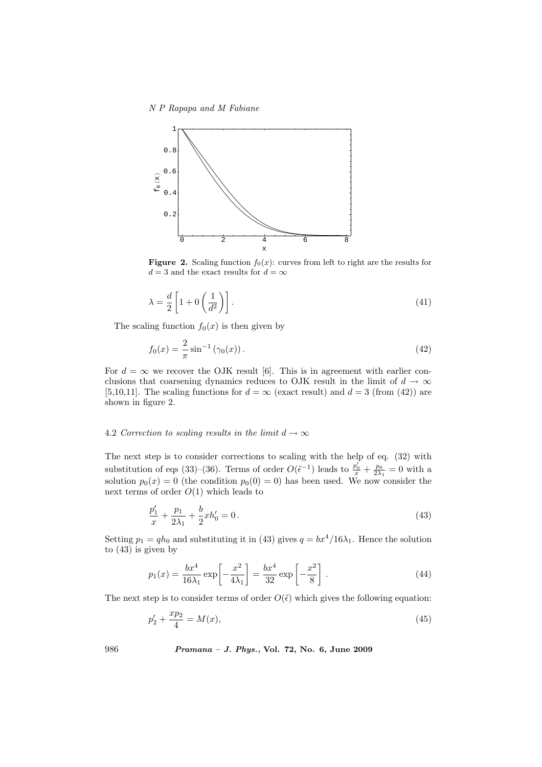N P Rapapa and M Fabiane



**Figure 2.** Scaling function  $f_0(x)$ : curves from left to right are the results for  $d=3$  and the exact results for  $d=\infty$ 

$$
\lambda = \frac{d}{2} \left[ 1 + 0 \left( \frac{1}{d^2} \right) \right]. \tag{41}
$$

The scaling function  $f_0(x)$  is then given by

$$
f_0(x) = \frac{2}{\pi} \sin^{-1}(\gamma_0(x)).
$$
 (42)

For  $d = \infty$  we recover the OJK result [6]. This is in agreement with earlier conclusions that coarsening dynamics reduces to OJK result in the limit of  $d \to \infty$ [5,10,11]. The scaling functions for  $d = \infty$  (exact result) and  $d = 3$  (from (42)) are shown in figure 2.

# 4.2 Correction to scaling results in the limit  $d \to \infty$

The next step is to consider corrections to scaling with the help of eq. (32) with substitution of eqs (33)–(36). Terms of order  $O(\tilde{\epsilon}^{-1})$  leads to  $\frac{p'_0}{x} + \frac{p_0}{2\lambda_1} = 0$  with a solution  $p_0(x) = 0$  (the condition  $p_0(0) = 0$ ) has been used. We now consider the next terms of order  $O(1)$  which leads to

$$
\frac{p_1'}{x} + \frac{p_1}{2\lambda_1} + \frac{b}{2}xh_0' = 0.
$$
\n(43)

Setting  $p_1 = qh_0$  and substituting it in (43) gives  $q = bx^4/16\lambda_1$ . Hence the solution to (43) is given by

$$
p_1(x) = \frac{bx^4}{16\lambda_1} \exp\left[-\frac{x^2}{4\lambda_1}\right] = \frac{bx^4}{32} \exp\left[-\frac{x^2}{8}\right].
$$
 (44)

The next step is to consider terms of order  $O(\tilde{\epsilon})$  which gives the following equation:

$$
p_2' + \frac{xp_2}{4} = M(x),\tag{45}
$$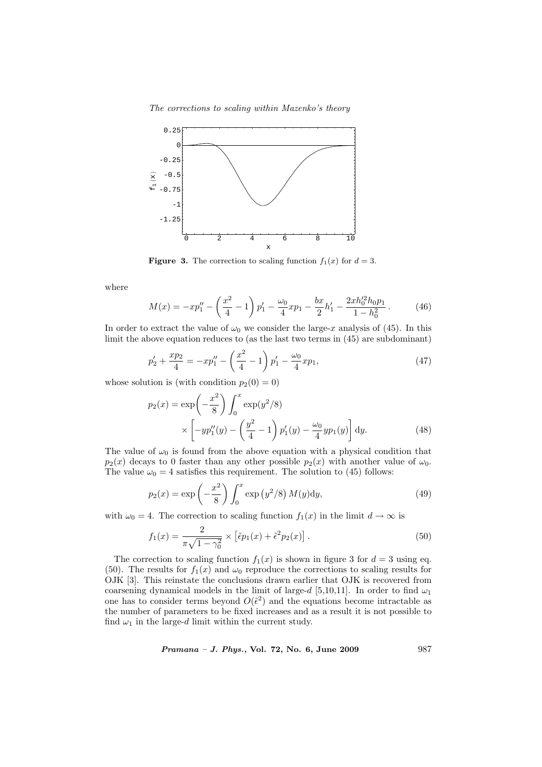The corrections to scaling within Mazenko's theory



**Figure 3.** The correction to scaling function  $f_1(x)$  for  $d = 3$ .

where

$$
M(x) = -xp_1'' - \left(\frac{x^2}{4} - 1\right)p_1' - \frac{\omega_0}{4}xp_1 - \frac{bx}{2}h_1' - \frac{2xh_0'^2h_0p_1}{1 - h_0^2}.
$$
 (46)

In order to extract the value of  $\omega_0$  we consider the large-x analysis of (45). In this limit the above equation reduces to (as the last two terms in (45) are subdominant)

$$
p_2' + \frac{xp_2}{4} = -xp_1'' - \left(\frac{x^2}{4} - 1\right)p_1' - \frac{\omega_0}{4}xp_1,\tag{47}
$$

whose solution is (with condition  $p_2(0) = 0$ )

$$
p_2(x) = \exp\left(-\frac{x^2}{8}\right) \int_0^x \exp(y^2/8) \times \left[ -yp_1''(y) - \left(\frac{y^2}{4} - 1\right)p_1'(y) - \frac{\omega_0}{4}yp_1(y) \right] dy.
$$
 (48)

The value of  $\omega_0$  is found from the above equation with a physical condition that  $p_2(x)$  decays to 0 faster than any other possible  $p_2(x)$  with another value of  $\omega_0$ . The value  $\omega_0 = 4$  satisfies this requirement. The solution to (45) follows:

$$
p_2(x) = \exp\left(-\frac{x^2}{8}\right) \int_0^x \exp\left(y^2/8\right) M(y) \, dy,\tag{49}
$$

with  $\omega_0 = 4$ . The correction to scaling function  $f_1(x)$  in the limit  $d \to \infty$  is

$$
f_1(x) = \frac{2}{\pi\sqrt{1-\gamma_0^2}} \times \left[\tilde{\epsilon}p_1(x) + \tilde{\epsilon}^2p_2(x)\right].\tag{50}
$$

The correction to scaling function  $f_1(x)$  is shown in figure 3 for  $d = 3$  using eq. (50). The results for  $f_1(x)$  and  $\omega_0$  reproduce the corrections to scaling results for OJK [3]. This reinstate the conclusions drawn earlier that OJK is recovered from coarsening dynamical models in the limit of large-d [5,10,11]. In order to find  $\omega_1$ one has to consider terms beyond  $O(\tilde{\epsilon}^2)$  and the equations become intractable as the number of parameters to be fixed increases and as a result it is not possible to find  $\omega_1$  in the large-d limit within the current study.